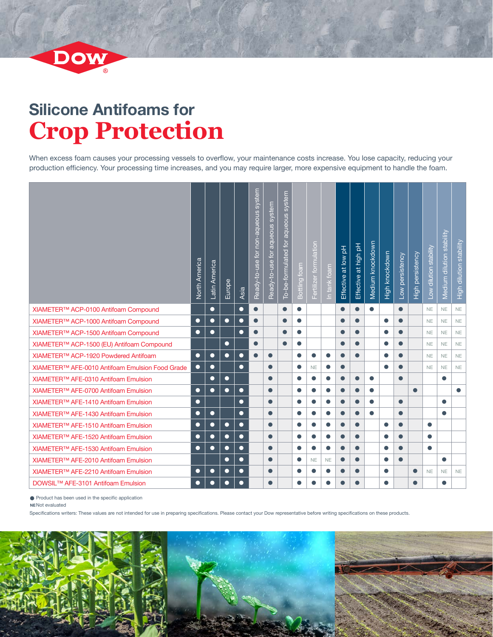

## **Silicone Antifoams for Crop Protection**

When excess foam causes your processing vessels to overflow, your maintenance costs increase. You lose capacity, reducing your production efficiency. Your processing time increases, and you may require larger, more expensive equipment to handle the foam.

|                                                 | North America | Latin America | Europe    | Asia      | Ready-to-use for non-aqueous system | Ready-to-use for aqueous system | To-be-formulated for aqueous system | Bottling foam | Fertilizer formulation | In tank foam | Effective at low pH | Effective at high pH | Medium knockdown | High knockdown | Low persistency | High persistency | Low dilution stability | Medium dilution stability | High dilution stability |
|-------------------------------------------------|---------------|---------------|-----------|-----------|-------------------------------------|---------------------------------|-------------------------------------|---------------|------------------------|--------------|---------------------|----------------------|------------------|----------------|-----------------|------------------|------------------------|---------------------------|-------------------------|
| XIAMETER™ ACP-0100 Antifoam Compound            |               | $\bullet$     |           | $\bullet$ | $\bullet$                           |                                 | $\bullet$                           | $\bullet$     |                        |              | $\bullet$           | $\bullet$            | $\bullet$        |                | $\bullet$       |                  | <b>NE</b>              | NE                        | $\mathsf{NE}\xspace$    |
| XIAMETER™ ACP-1000 Antifoam Compound            | $\bullet$     | $\bullet$     | $\bullet$ | $\bullet$ | $\bullet$                           |                                 | $\bullet$                           | $\bullet$     |                        |              | $\bullet$           | $\bullet$            |                  | $\bullet$      |                 |                  | <b>NE</b>              | <b>NE</b>                 | $\mathsf{NE}\xspace$    |
| XIAMETER™ ACP-1500 Antifoam Compound            | $\bullet$     | $\bullet$     |           | $\bullet$ | $\bullet$                           |                                 |                                     | $\bullet$     |                        |              |                     | $\bullet$            |                  | $\bullet$      | $\bullet$       |                  | <b>NE</b>              | <b>NE</b>                 | $\mathsf{NE}\xspace$    |
| XIAMETER™ ACP-1500 (EU) Antifoam Compound       |               |               | $\bullet$ |           | $\bullet$                           |                                 |                                     | $\bullet$     |                        |              | $\bullet$           | $\bullet$            |                  | $\bullet$      | $\bullet$       |                  | <b>NE</b>              | <b>NE</b>                 | NE                      |
| XIAMETER™ ACP-1920 Powdered Antifoam            | $\bullet$     | $\bullet$     | $\bullet$ | $\bullet$ | $\bullet$                           | $\bullet$                       |                                     | $\bullet$     |                        | $\bullet$    |                     | $\bullet$            |                  | $\bullet$      |                 |                  | <b>NE</b>              | <b>NE</b>                 | $\mathsf{NE}\xspace$    |
| XIAMETER™ AFE-0010 Antifoam Emulsion Food Grade | $\bullet$     | $\bullet$     |           | $\bullet$ |                                     | $\bullet$                       |                                     | $\bullet$     | <b>NE</b>              | $\bullet$    | $\bullet$           |                      |                  | $\bullet$      |                 |                  | <b>NE</b>              | <b>NE</b>                 | <b>NE</b>               |
| XIAMETER™ AFE-0310 Antifoam Emulsion            |               | $\bullet$     | $\bullet$ |           |                                     | $\bullet$                       |                                     | $\bullet$     | $\bullet$              | $\bullet$    | $\bullet$           | $\bullet$            | $\bullet$        |                | $\bullet$       |                  |                        | $\bullet$                 |                         |
| XIAMETER™ AFE-0700 Antifoam Emulsion            | $\bullet$     | $\bullet$     | $\bullet$ | $\bullet$ |                                     | $\bullet$                       |                                     | $\bullet$     | $\bullet$              | $\bullet$    |                     | $\bullet$            | $\bullet$        |                |                 | $\bullet$        |                        |                           | $\bullet$               |
| XIAMETER™ AFE-1410 Antifoam Emulsion            | $\bullet$     |               |           | $\bullet$ |                                     | $\bullet$                       |                                     | $\bullet$     |                        | $\bullet$    |                     | $\bullet$            | 0                |                | $\bullet$       |                  |                        | $\bullet$                 |                         |
| XIAMETER™ AFE-1430 Antifoam Emulsion            | $\bullet$     | $\bullet$     |           | $\bullet$ |                                     | $\bullet$                       |                                     | $\bullet$     | $\bullet$              | $\bullet$    |                     | $\bullet$            | $\bullet$        |                | $\bullet$       |                  |                        | $\bullet$                 |                         |
| XIAMETER™ AFE-1510 Antifoam Emulsion            | $\bullet$     | $\bullet$     | $\bullet$ | $\bullet$ |                                     | $\bullet$                       |                                     | $\bullet$     |                        | $\bullet$    |                     | $\bullet$            |                  | $\bullet$      |                 |                  | $\bullet$              |                           |                         |
| XIAMETER™ AFE-1520 Antifoam Emulsion            | $\bullet$     | $\bullet$     | $\bullet$ | $\bullet$ |                                     | $\bullet$                       |                                     | $\bullet$     |                        | $\bullet$    |                     | $\bullet$            |                  | $\bullet$      | $\bullet$       |                  | $\bullet$              |                           |                         |
| XIAMETER™ AFE-1530 Antifoam Emulsion            | $\bullet$     | $\bullet$     | $\bullet$ | $\bullet$ |                                     | $\bullet$                       |                                     | $\bullet$     | $\bullet$              | $\bullet$    | $\bullet$           | $\bullet$            |                  | $\bullet$      | $\bullet$       |                  | $\bullet$              |                           |                         |
| XIAMETER™ AFE-2010 Antifoam Emulsion            |               |               | $\bullet$ | $\bullet$ |                                     | $\bullet$                       |                                     | $\bullet$     | <b>NE</b>              | <b>NE</b>    |                     | $\bullet$            |                  | $\bullet$      | $\bullet$       |                  |                        | $\bullet$                 |                         |
| XIAMETER™ AFE-2210 Antifoam Emulsion            | $\bullet$     | $\bullet$     | $\bullet$ | $\bullet$ |                                     | $\bullet$                       |                                     | $\bullet$     | 0                      | $\bullet$    |                     | $\bullet$            |                  | $\bullet$      |                 | $\bullet$        | <b>NE</b>              | NE.                       | NE                      |
| DOWSIL <sup>™</sup> AFE-3101 Antifoam Emulsion  | $\bullet$     | $\bullet$     | $\bullet$ | $\bullet$ |                                     | $\bullet$                       |                                     | $\bullet$     |                        | $\bullet$    |                     | $\bullet$            |                  | $\bullet$      |                 | $\bullet$        |                        | $\bullet$                 |                         |

Product has been used in the specific application

**NE**Not evaluated

Specifications writers: These values are not intended for use in preparing specifications. Please contact your Dow representative before writing specifications on these products.